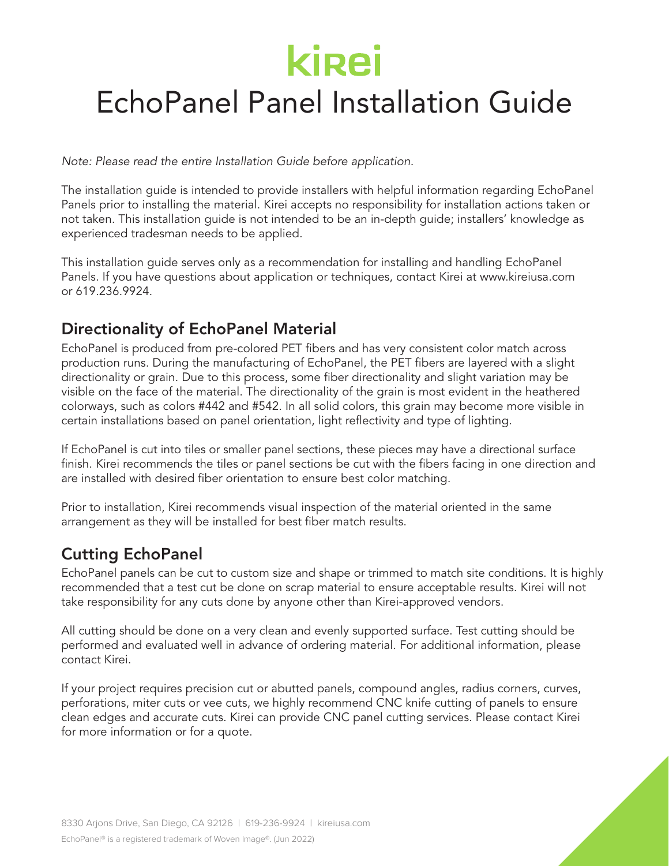### EchoPanel Panel Installation Guide

*Note: Please read the entire Installation Guide before application.*

The installation guide is intended to provide installers with helpful information regarding EchoPanel Panels prior to installing the material. Kirei accepts no responsibility for installation actions taken or not taken. This installation guide is not intended to be an in-depth guide; installers' knowledge as experienced tradesman needs to be applied.

This installation guide serves only as a recommendation for installing and handling EchoPanel Panels. If you have questions about application or techniques, contact Kirei at www.kireiusa.com or 619.236.9924.

### Directionality of EchoPanel Material

EchoPanel is produced from pre-colored PET fibers and has very consistent color match across production runs. During the manufacturing of EchoPanel, the PET fibers are layered with a slight directionality or grain. Due to this process, some fiber directionality and slight variation may be visible on the face of the material. The directionality of the grain is most evident in the heathered colorways, such as colors #442 and #542. In all solid colors, this grain may become more visible in certain installations based on panel orientation, light reflectivity and type of lighting.

If EchoPanel is cut into tiles or smaller panel sections, these pieces may have a directional surface finish. Kirei recommends the tiles or panel sections be cut with the fibers facing in one direction and are installed with desired fiber orientation to ensure best color matching.

Prior to installation, Kirei recommends visual inspection of the material oriented in the same arrangement as they will be installed for best fiber match results.

### Cutting EchoPanel

EchoPanel panels can be cut to custom size and shape or trimmed to match site conditions. It is highly recommended that a test cut be done on scrap material to ensure acceptable results. Kirei will not take responsibility for any cuts done by anyone other than Kirei-approved vendors.

All cutting should be done on a very clean and evenly supported surface. Test cutting should be performed and evaluated well in advance of ordering material. For additional information, please contact Kirei.

If your project requires precision cut or abutted panels, compound angles, radius corners, curves, perforations, miter cuts or vee cuts, we highly recommend CNC knife cutting of panels to ensure clean edges and accurate cuts. Kirei can provide CNC panel cutting services. Please contact Kirei for more information or for a quote.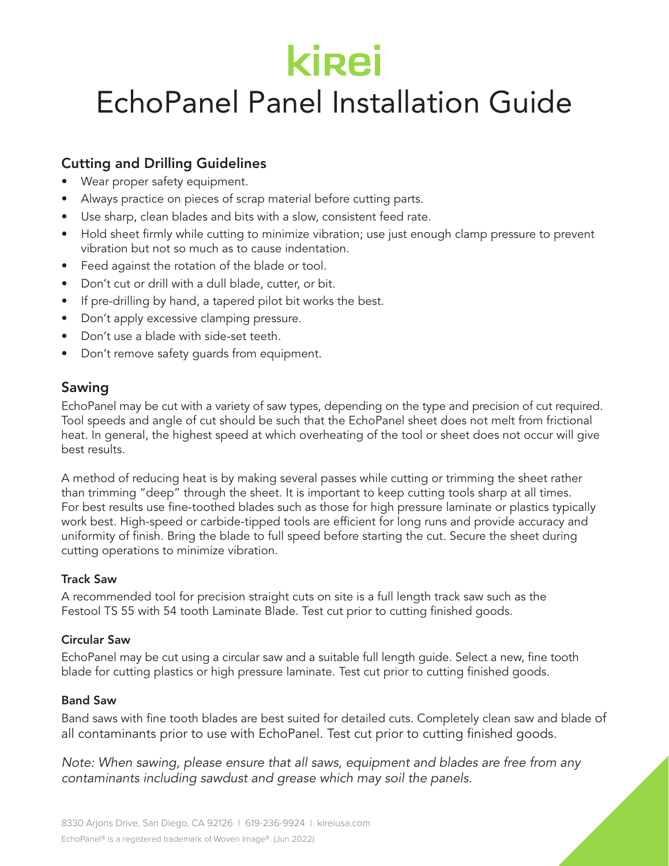### EchoPanel Panel Installation Guide

### Cutting and Drilling Guidelines

- Wear proper safety equipment.
- Always practice on pieces of scrap material before cutting parts.
- Use sharp, clean blades and bits with a slow, consistent feed rate.
- Hold sheet firmly while cutting to minimize vibration; use just enough clamp pressure to prevent vibration but not so much as to cause indentation.
- Feed against the rotation of the blade or tool.
- Don't cut or drill with a dull blade, cutter, or bit.
- If pre-drilling by hand, a tapered pilot bit works the best.
- Don't apply excessive clamping pressure.
- Don't use a blade with side-set teeth.
- Don't remove safety guards from equipment.

### Sawing

EchoPanel may be cut with a variety of saw types, depending on the type and precision of cut required. Tool speeds and angle of cut should be such that the EchoPanel sheet does not melt from frictional heat. In general, the highest speed at which overheating of the tool or sheet does not occur will give best results.

A method of reducing heat is by making several passes while cutting or trimming the sheet rather than trimming "deep" through the sheet. It is important to keep cutting tools sharp at all times. For best results use fine-toothed blades such as those for high pressure laminate or plastics typically work best. High-speed or carbide-tipped tools are efficient for long runs and provide accuracy and uniformity of finish. Bring the blade to full speed before starting the cut. Secure the sheet during cutting operations to minimize vibration.

#### Track Saw

A recommended tool for precision straight cuts on site is a full length track saw such as the Festool TS 55 with 54 tooth Laminate Blade. Test cut prior to cutting finished goods.

#### Circular Saw

EchoPanel may be cut using a circular saw and a suitable full length guide. Select a new, fine tooth blade for cutting plastics or high pressure laminate. Test cut prior to cutting finished goods.

### Band Saw

Band saws with fine tooth blades are best suited for detailed cuts. Completely clean saw and blade of all contaminants prior to use with EchoPanel. Test cut prior to cutting finished goods.

*Note: When sawing, please ensure that all saws, equipment and blades are free from any contaminants including sawdust and grease which may soil the panels.*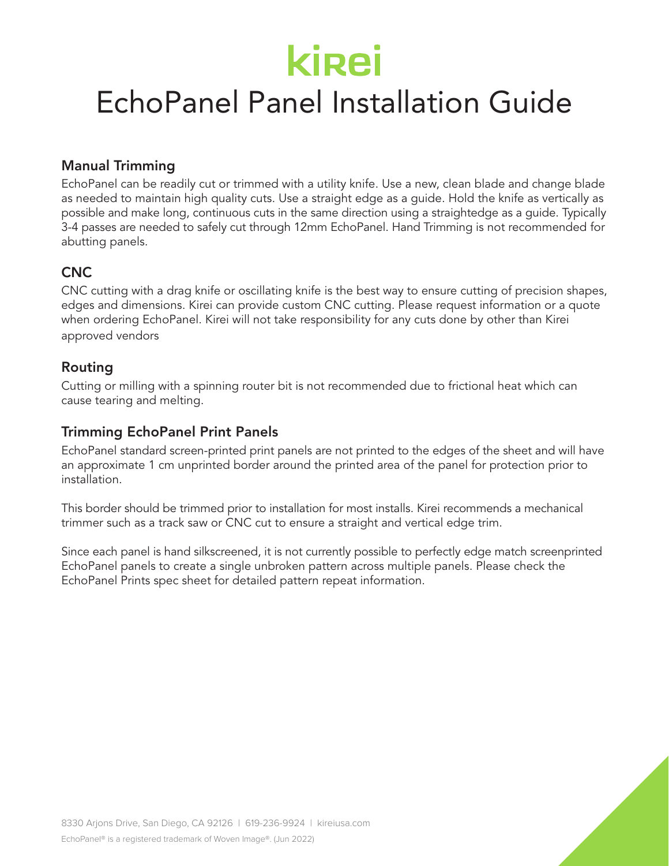## EchoPanel Panel Installation Guide

### Manual Trimming

EchoPanel can be readily cut or trimmed with a utility knife. Use a new, clean blade and change blade as needed to maintain high quality cuts. Use a straight edge as a guide. Hold the knife as vertically as possible and make long, continuous cuts in the same direction using a straightedge as a guide. Typically 3-4 passes are needed to safely cut through 12mm EchoPanel. Hand Trimming is not recommended for abutting panels.

### CNC

CNC cutting with a drag knife or oscillating knife is the best way to ensure cutting of precision shapes, edges and dimensions. Kirei can provide custom CNC cutting. Please request information or a quote when ordering EchoPanel. Kirei will not take responsibility for any cuts done by other than Kirei approved vendors

### Routing

Cutting or milling with a spinning router bit is not recommended due to frictional heat which can cause tearing and melting.

### Trimming EchoPanel Print Panels

EchoPanel standard screen-printed print panels are not printed to the edges of the sheet and will have an approximate 1 cm unprinted border around the printed area of the panel for protection prior to installation.

This border should be trimmed prior to installation for most installs. Kirei recommends a mechanical trimmer such as a track saw or CNC cut to ensure a straight and vertical edge trim.

Since each panel is hand silkscreened, it is not currently possible to perfectly edge match screenprinted EchoPanel panels to create a single unbroken pattern across multiple panels. Please check the EchoPanel Prints spec sheet for detailed pattern repeat information.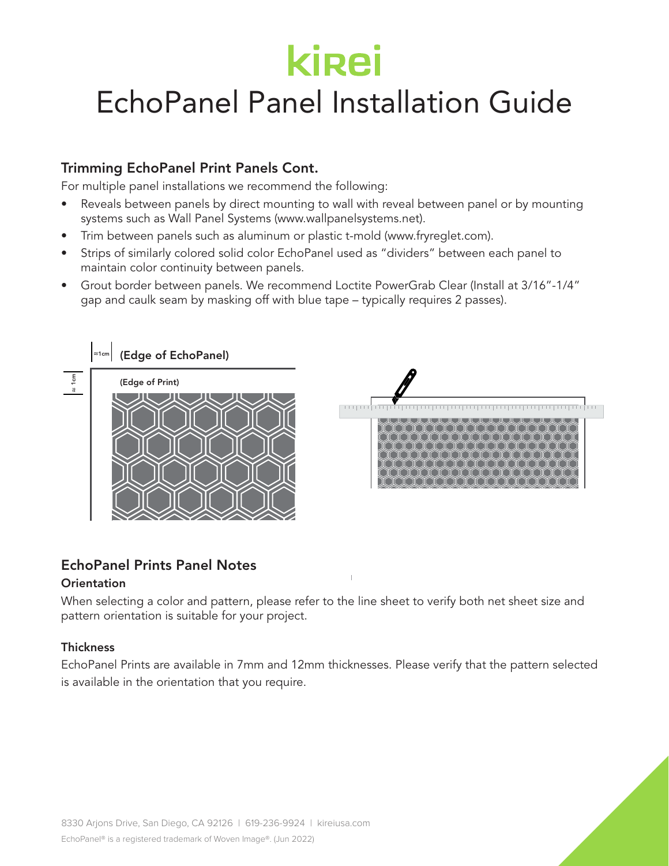## EchoPanel Panel Installation Guide

### Trimming EchoPanel Print Panels Cont.

For multiple panel installations we recommend the following:

- Reveals between panels by direct mounting to wall with reveal between panel or by mounting systems such as Wall Panel Systems (www.wallpanelsystems.net).
- Trim between panels such as aluminum or plastic t-mold (www.fryreglet.com).
- Strips of similarly colored solid color EchoPanel used as "dividers" between each panel to maintain color continuity between panels.
- Grout border between panels. We recommend Loctite PowerGrab Clear (Install at 3/16"-1/4" gap and caulk seam by masking off with blue tape – typically requires 2 passes).



### EchoPanel Prints Panel Notes

#### **Orientation**

When selecting a color and pattern, please refer to the line sheet to verify both net sheet size and pattern orientation is suitable for your project.

#### **Thickness**

EchoPanel Prints are available in 7mm and 12mm thicknesses. Please verify that the pattern selected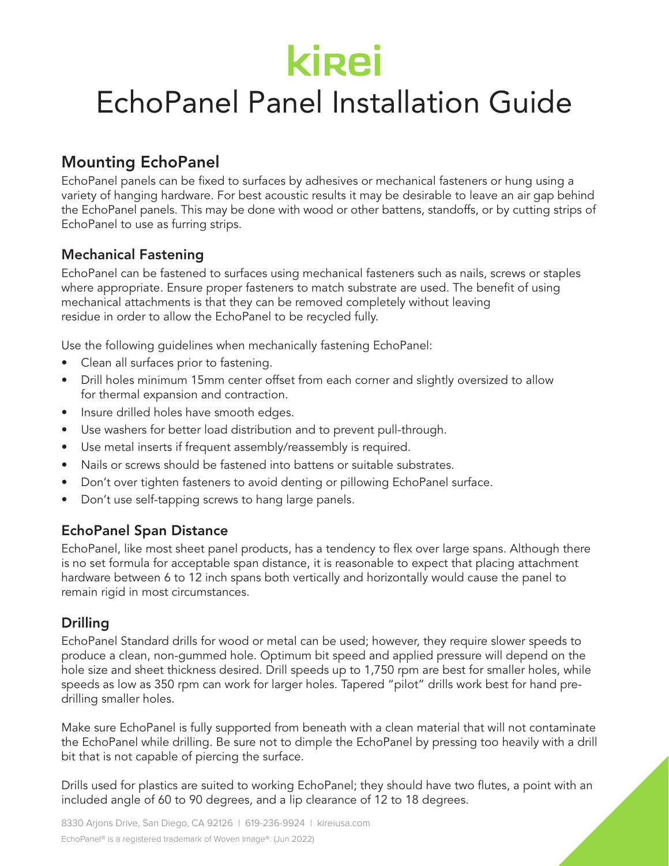### EchoPanel Panel Installation Guide

### Mounting EchoPanel

EchoPanel panels can be fixed to surfaces by adhesives or mechanical fasteners or hung using a variety of hanging hardware. For best acoustic results it may be desirable to leave an air gap behind the EchoPanel panels. This may be done with wood or other battens, standoffs, or by cutting strips of EchoPanel to use as furring strips.

### Mechanical Fastening

EchoPanel can be fastened to surfaces using mechanical fasteners such as nails, screws or staples where appropriate. Ensure proper fasteners to match substrate are used. The benefit of using mechanical attachments is that they can be removed completely without leaving residue in order to allow the EchoPanel to be recycled fully.

Use the following guidelines when mechanically fastening EchoPanel:

- Clean all surfaces prior to fastening.
- Drill holes minimum 15mm center offset from each corner and slightly oversized to allow for thermal expansion and contraction.
- Insure drilled holes have smooth edges.
- Use washers for better load distribution and to prevent pull-through.
- Use metal inserts if frequent assembly/reassembly is required.
- Nails or screws should be fastened into battens or suitable substrates.
- Don't over tighten fasteners to avoid denting or pillowing EchoPanel surface.
- Don't use self-tapping screws to hang large panels.

### EchoPanel Span Distance

EchoPanel, like most sheet panel products, has a tendency to flex over large spans. Although there is no set formula for acceptable span distance, it is reasonable to expect that placing attachment hardware between 6 to 12 inch spans both vertically and horizontally would cause the panel to remain rigid in most circumstances.

### Drilling

EchoPanel Standard drills for wood or metal can be used; however, they require slower speeds to produce a clean, non-gummed hole. Optimum bit speed and applied pressure will depend on the hole size and sheet thickness desired. Drill speeds up to 1,750 rpm are best for smaller holes, while speeds as low as 350 rpm can work for larger holes. Tapered "pilot" drills work best for hand predrilling smaller holes.

Make sure EchoPanel is fully supported from beneath with a clean material that will not contaminate the EchoPanel while drilling. Be sure not to dimple the EchoPanel by pressing too heavily with a drill bit that is not capable of piercing the surface.

Drills used for plastics are suited to working EchoPanel; they should have two flutes, a point with an included angle of 60 to 90 degrees, and a lip clearance of 12 to 18 degrees.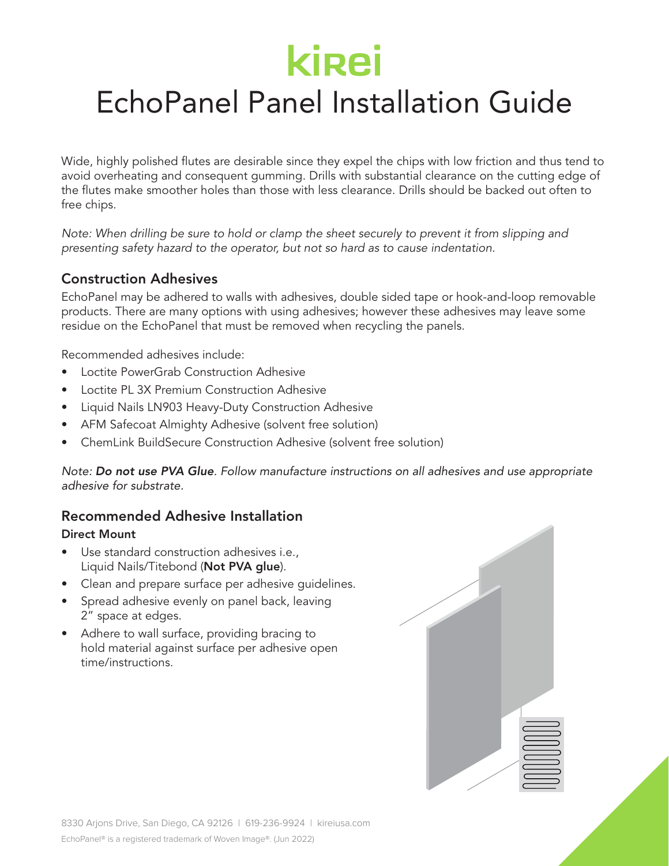## EchoPanel Panel Installation Guide

Wide, highly polished flutes are desirable since they expel the chips with low friction and thus tend to avoid overheating and consequent gumming. Drills with substantial clearance on the cutting edge of the flutes make smoother holes than those with less clearance. Drills should be backed out often to free chips.

*Note: When drilling be sure to hold or clamp the sheet securely to prevent it from slipping and presenting safety hazard to the operator, but not so hard as to cause indentation.*

### Construction Adhesives

EchoPanel may be adhered to walls with adhesives, double sided tape or hook-and-loop removable products. There are many options with using adhesives; however these adhesives may leave some residue on the EchoPanel that must be removed when recycling the panels.

Recommended adhesives include:

- Loctite PowerGrab Construction Adhesive
- Loctite PL 3X Premium Construction Adhesive
- Liquid Nails LN903 Heavy-Duty Construction Adhesive
- AFM Safecoat Almighty Adhesive (solvent free solution)
- ChemLink BuildSecure Construction Adhesive (solvent free solution)

*Note: Do not use PVA Glue. Follow manufacture instructions on all adhesives and use appropriate adhesive for substrate.*

### Recommended Adhesive Installation

#### Direct Mount

- Use standard construction adhesives *i.e.*, Liquid Nails/Titebond (Not PVA glue).
- Clean and prepare surface per adhesive guidelines.
- Spread adhesive evenly on panel back, leaving 2" space at edges.
- Adhere to wall surface, providing bracing to hold material against surface per adhesive open time/instructions.

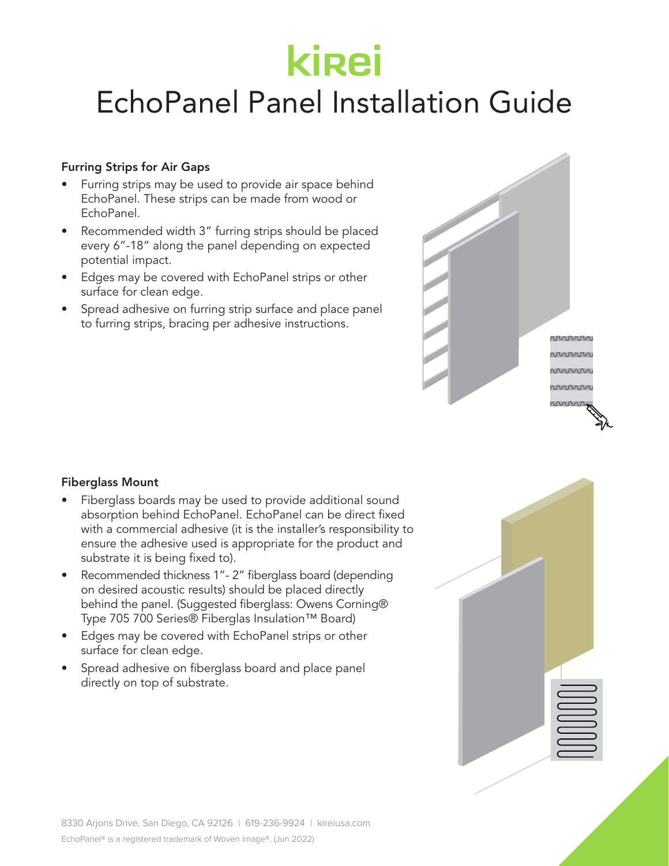## EchoPanel Panel Installation Guide

#### Furring Strips for Air Gaps

- Furring strips may be used to provide air space behind EchoPanel. These strips can be made from wood or EchoPanel.
- Recommended width 3" furring strips should be placed every 6"-18" along the panel depending on expected potential impact.
- Edges may be covered with EchoPanel strips or other surface for clean edge.
- Spread adhesive on furring strip surface and place panel to furring strips, bracing per adhesive instructions.



#### Fiberglass Mount

- Fiberglass boards may be used to provide additional sound absorption behind EchoPanel. EchoPanel can be direct fixed with a commercial adhesive (it is the installer's responsibility to ensure the adhesive used is appropriate for the product and substrate it is being fixed to).
- Recommended thickness 1"- 2" fiberglass board (depending on desired acoustic results) should be placed directly behind the panel. (Suggested fiberglass: Owens Corning® Type 705 700 Series® Fiberglas Insulation™ Board)
- Edges may be covered with EchoPanel strips or other surface for clean edge.
- Spread adhesive on fiberglass board and place panel directly on top of substrate.

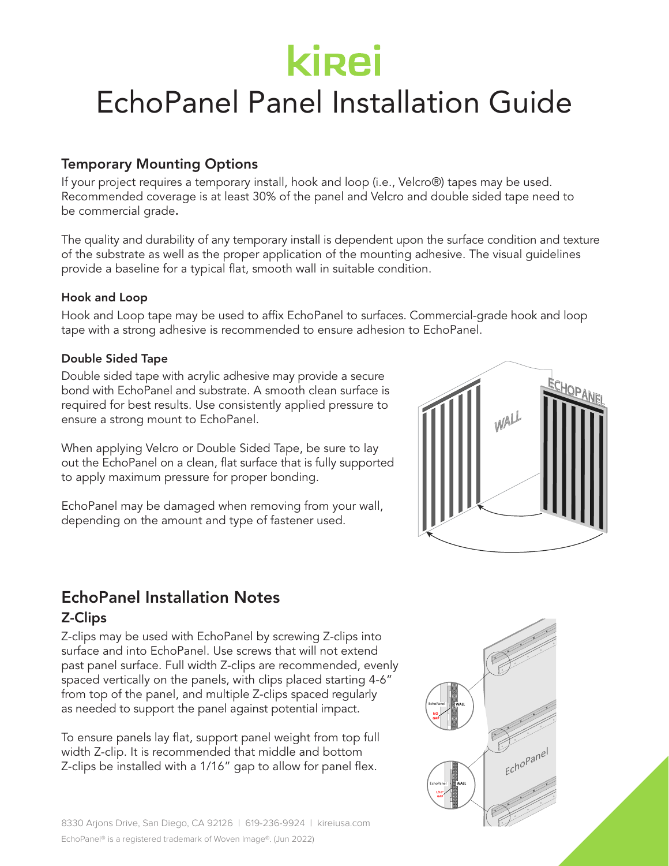### EchoPanel Panel Installation Guide

### Temporary Mounting Options

If your project requires a temporary install, hook and loop (i.e., Velcro®) tapes may be used. Recommended coverage is at least 30% of the panel and Velcro and double sided tape need to be commercial grade.

The quality and durability of any temporary install is dependent upon the surface condition and texture of the substrate as well as the proper application of the mounting adhesive. The visual guidelines provide a baseline for a typical flat, smooth wall in suitable condition.

#### Hook and Loop

Hook and Loop tape may be used to affix EchoPanel to surfaces. Commercial-grade hook and loop tape with a strong adhesive is recommended to ensure adhesion to EchoPanel. WALL

#### Double Sided Tape

Double sided tape with acrylic adhesive may provide a secure bond with EchoPanel and substrate. A smooth clean surface is required for best results. Use consistently applied pressure to ensure a strong mount to EchoPanel.

When applying Velcro or Double Sided Tape, be sure to lay out the EchoPanel on a clean, flat surface that is fully supported to apply maximum pressure for proper bonding.

EchoPanel may be damaged when removing from your wall, depending on the amount and type of fastener used.



### EchoPanel Installation Notes Z-Clips

Z-clips may be used with EchoPanel by screwing Z-clips into surface and into EchoPanel. Use screws that will not extend past panel surface. Full width Z-clips are recommended, evenly spaced vertically on the panels, with clips placed starting 4-6" from top of the panel, and multiple Z-clips spaced regularly as needed to support the panel against potential impact.

To ensure panels lay flat, support panel weight from top full width Z-clip. It is recommended that middle and bottom Z-clips be installed with a 1/16" gap to allow for panel flex.

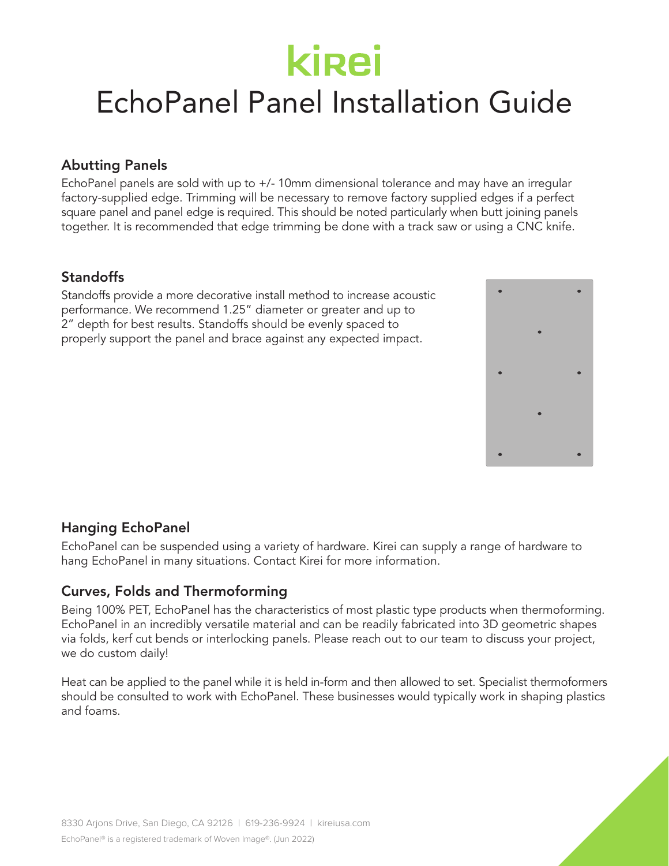## EchoPanel Panel Installation Guide

### Abutting Panels

EchoPanel panels are sold with up to +/- 10mm dimensional tolerance and may have an irregular factory-supplied edge. Trimming will be necessary to remove factory supplied edges if a perfect square panel and panel edge is required. This should be noted particularly when butt joining panels together. It is recommended that edge trimming be done with a track saw or using a CNC knife.

### **Standoffs**

Standoffs provide a more decorative install method to increase acoustic performance. We recommend 1.25" diameter or greater and up to 2" depth for best results. Standoffs should be evenly spaced to properly support the panel and brace against any expected impact.



### Hanging EchoPanel

EchoPanel can be suspended using a variety of hardware. Kirei can supply a range of hardware to hang EchoPanel in many situations. Contact Kirei for more information.

### Curves, Folds and Thermoforming

Being 100% PET, EchoPanel has the characteristics of most plastic type products when thermoforming. EchoPanel in an incredibly versatile material and can be readily fabricated into 3D geometric shapes via folds, kerf cut bends or interlocking panels. Please reach out to our team to discuss your project, we do custom daily!

Heat can be applied to the panel while it is held in-form and then allowed to set. Specialist thermoformers should be consulted to work with EchoPanel. These businesses would typically work in shaping plastics and foams.